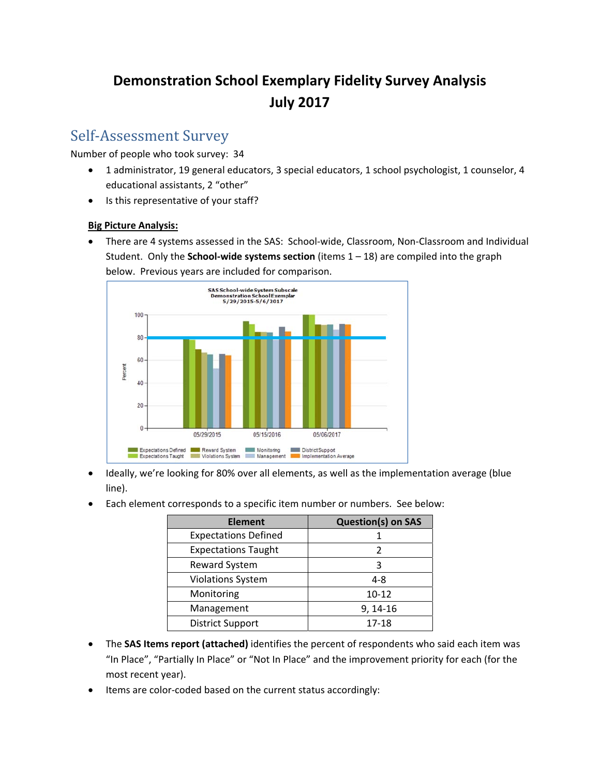# **Demonstration School Exemplary Fidelity Survey Analysis July 2017**

### Self-Assessment Survey

Number of people who took survey: 34

- 1 administrator, 19 general educators, 3 special educators, 1 school psychologist, 1 counselor, 4 educational assistants, 2 "other"
- Is this representative of your staff?

#### **Big Picture Analysis:**

● There are 4 systems assessed in the SAS: School-wide, Classroom, Non-Classroom and Individual Student. Only the **School‐wide systems section** (items 1 – 18) are compiled into the graph below. Previous years are included for comparison.



- Ideally, we're looking for 80% over all elements, as well as the implementation average (blue line).
- Each element corresponds to a specific item number or numbers. See below:

| <b>Element</b>              | <b>Question(s) on SAS</b> |  |  |
|-----------------------------|---------------------------|--|--|
| <b>Expectations Defined</b> |                           |  |  |
| <b>Expectations Taught</b>  |                           |  |  |
| Reward System               |                           |  |  |
| <b>Violations System</b>    | $4 - 8$                   |  |  |
| Monitoring                  | $10 - 12$                 |  |  |
| Management                  | $9, 14-16$                |  |  |
| <b>District Support</b>     | 17-18                     |  |  |

- The **SAS Items report (attached)** identifies the percent of respondents who said each item was "In Place", "Partially In Place" or "Not In Place" and the improvement priority for each (for the most recent year).
- Items are color-coded based on the current status accordingly: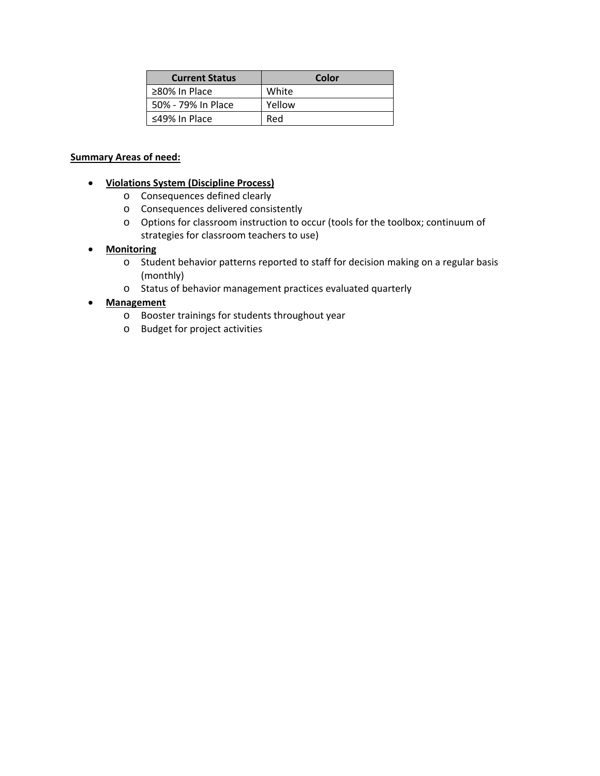| <b>Current Status</b> | Color  |
|-----------------------|--------|
| ≥80% In Place         | White  |
| 50% - 79% In Place    | Yellow |
| $\leq$ 49% In Place   | Red    |

#### **Summary Areas of need:**

- **Violations System (Discipline Process)**
	- o Consequences defined clearly
	- o Consequences delivered consistently
	- o Options for classroom instruction to occur (tools for the toolbox; continuum of strategies for classroom teachers to use)
- **Monitoring**
	- o Student behavior patterns reported to staff for decision making on a regular basis (monthly)
	- o Status of behavior management practices evaluated quarterly

#### **Management**

- o Booster trainings for students throughout year
- o Budget for project activities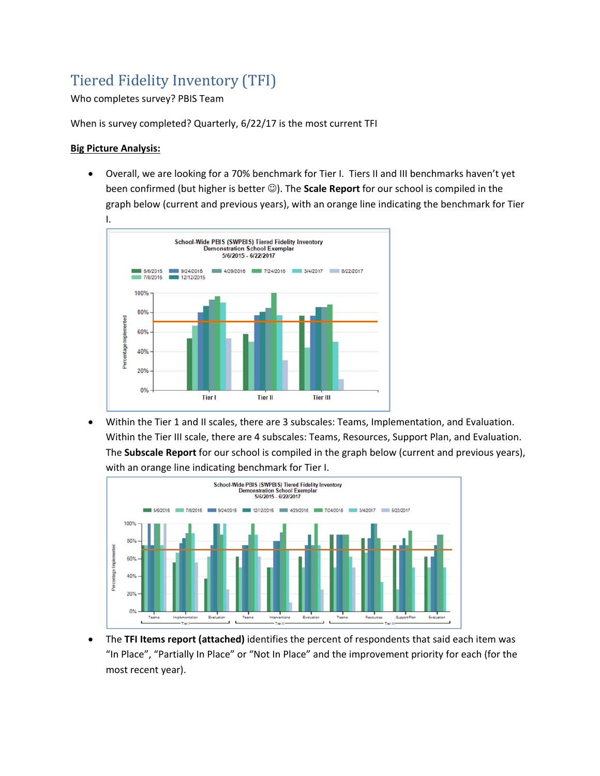# Tiered Fidelity Inventory (TFI)

#### Who completes survey? PBIS Team

When is survey completed? Quarterly, 6/22/17 is the most current TFI

#### **Big Picture Analysis:**

 Overall, we are looking for a 70% benchmark for Tier I. Tiers II and III benchmarks haven't yet been confirmed (but higher is better  $\circledcirc$ ). The **Scale Report** for our school is compiled in the graph below (current and previous years), with an orange line indicating the benchmark for Tier



 Within the Tier 1 and II scales, there are 3 subscales: Teams, Implementation, and Evaluation. Within the Tier III scale, there are 4 subscales: Teams, Resources, Support Plan, and Evaluation. The **Subscale Report** for our school is compiled in the graph below (current and previous years), with an orange line indicating benchmark for Tier I.



 The **TFI Items report (attached)** identifies the percent of respondents that said each item was "In Place", "Partially In Place" or "Not In Place" and the improvement priority for each (for the most recent year).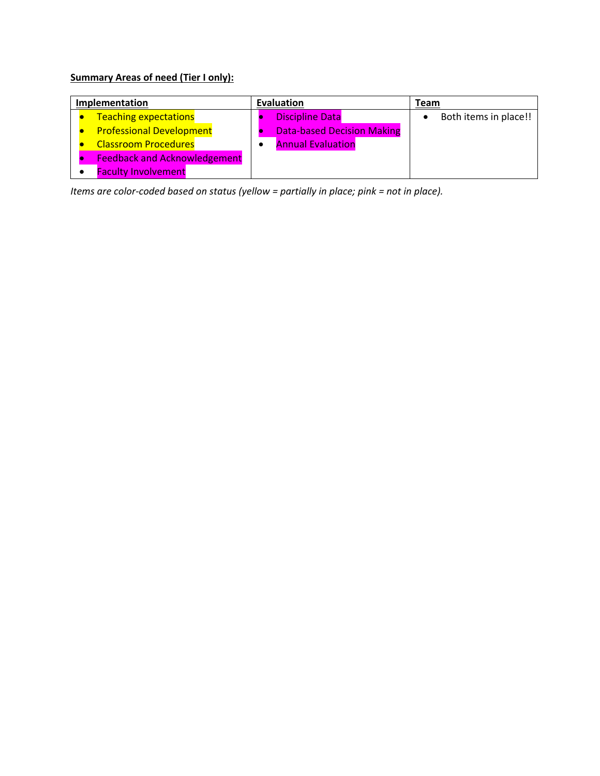### **Summary Areas of need (Tier I only):**

| Implementation                      | Evaluation |                                   | Team |                       |
|-------------------------------------|------------|-----------------------------------|------|-----------------------|
| <b>Teaching expectations</b>        |            | <b>Discipline Data</b>            |      | Both items in place!! |
| <b>Professional Development</b>     |            | <b>Data-based Decision Making</b> |      |                       |
| <b>Classroom Procedures</b>         |            | <b>Annual Evaluation</b>          |      |                       |
| <b>Feedback and Acknowledgement</b> |            |                                   |      |                       |
| <b>Faculty Involvement</b>          |            |                                   |      |                       |

*Items are color‐coded based on status (yellow = partially in place; pink = not in place).*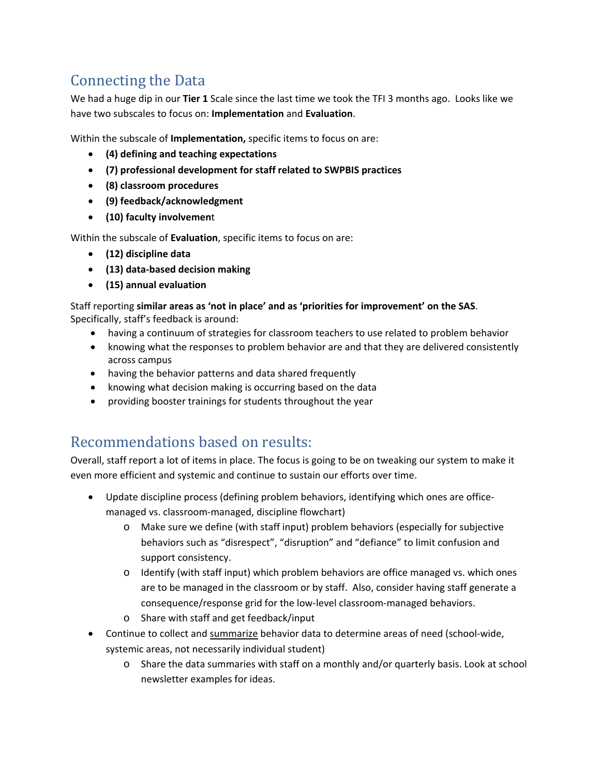# Connecting the Data

We had a huge dip in our **Tier 1** Scale since the last time we took the TFI 3 months ago. Looks like we have two subscales to focus on: **Implementation** and **Evaluation**.

Within the subscale of **Implementation,** specific items to focus on are:

- **(4) defining and teaching expectations**
- **(7) professional development for staff related to SWPBIS practices**
- **(8) classroom procedures**
- **(9) feedback/acknowledgment**
- **(10) faculty involvemen**t

Within the subscale of **Evaluation**, specific items to focus on are:

- **(12) discipline data**
- **(13) data‐based decision making**
- **(15) annual evaluation**

Staff reporting **similar areas as 'not in place' and as 'priorities for improvement' on the SAS**. Specifically, staff's feedback is around:

- having a continuum of strategies for classroom teachers to use related to problem behavior
- knowing what the responses to problem behavior are and that they are delivered consistently across campus
- having the behavior patterns and data shared frequently
- knowing what decision making is occurring based on the data
- providing booster trainings for students throughout the year

### Recommendations based on results:

Overall, staff report a lot of items in place. The focus is going to be on tweaking our system to make it even more efficient and systemic and continue to sustain our efforts over time.

- Update discipline process (defining problem behaviors, identifying which ones are officemanaged vs. classroom‐managed, discipline flowchart)
	- o Make sure we define (with staff input) problem behaviors (especially for subjective behaviors such as "disrespect", "disruption" and "defiance" to limit confusion and support consistency.
	- o Identify (with staff input) which problem behaviors are office managed vs. which ones are to be managed in the classroom or by staff. Also, consider having staff generate a consequence/response grid for the low‐level classroom‐managed behaviors.
	- o Share with staff and get feedback/input
- Continue to collect and summarize behavior data to determine areas of need (school-wide, systemic areas, not necessarily individual student)
	- o Share the data summaries with staff on a monthly and/or quarterly basis. Look at school newsletter examples for ideas.